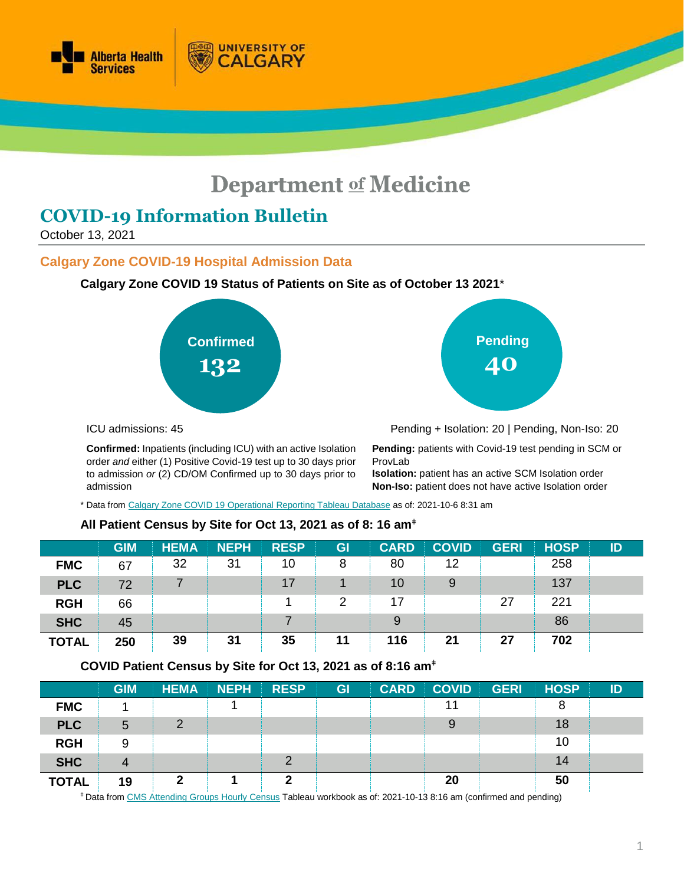

# **Department of Medicine**

# **COVID-19 Information Bulletin**

October 13, 2021

#### **Calgary Zone COVID-19 Hospital Admission Data**



**UNIVERSITY OF** 

CALGARY





ICU admissions: 45

**Confirmed:** Inpatients (including ICU) with an active Isolation order *and* either (1) Positive Covid-19 test up to 30 days prior to admission *or* (2) CD/OM Confirmed up to 30 days prior to admission

Pending + Isolation: 20 | Pending, Non-Iso: 20

**Pending:** patients with Covid-19 test pending in SCM or ProvLab

**Isolation:** patient has an active SCM Isolation order **Non-Iso:** patient does not have active Isolation order

\* Data fro[m Calgary Zone COVID 19 Operational](https://tableau.albertahealthservices.ca/#/views/Covid19StatusCalgarySites/COVID19StatusCZSites?:iid=1) Reporting Tableau Database as of: 2021-10-6 8:31 am

#### **All Patient Census by Site for Oct 13, 2021 as of 8: 16 am**<sup>ǂ</sup>

|              | <b>GIM</b> | <b>HEMA</b> | <b>NEPH</b> | <b>RESP</b> | GI | <b>CARD</b> | <b>COVID</b> | <b>GERI</b> | <b>HOSP</b> | ID |
|--------------|------------|-------------|-------------|-------------|----|-------------|--------------|-------------|-------------|----|
| <b>FMC</b>   | 67         | 32          | 31          | 10          | 8  | 80          | 12           |             | 258         |    |
| <b>PLC</b>   | 72         |             |             | 17          |    | 10          | 9            |             | 137         |    |
| <b>RGH</b>   | 66         |             |             |             | 2  | 17          |              | 27          | 221         |    |
| <b>SHC</b>   | 45         |             |             |             |    | 9           |              |             | 86          |    |
| <b>TOTAL</b> | 250        | 39          | 31          | 35          | 11 | 116         | 21           | 27          | 702         |    |

#### **COVID Patient Census by Site for Oct 13, 2021 as of 8:16 am**<sup>ǂ</sup>

|              | <b>GIM</b>     | <b>HEMA</b> | <b>NEPH</b> | <b>RESP</b> | GI | <b>CARD</b> | <b>COVID</b> | <b>GERI</b> | <b>HOSP</b> | ID |
|--------------|----------------|-------------|-------------|-------------|----|-------------|--------------|-------------|-------------|----|
| <b>FMC</b>   |                |             |             |             |    |             |              |             | 8           |    |
| <b>PLC</b>   | 5              | $\Omega$    |             |             |    |             | 9            |             | 18          |    |
| <b>RGH</b>   | 9              |             |             |             |    |             |              |             | 10          |    |
| <b>SHC</b>   | $\overline{4}$ |             |             |             |    |             |              |             | 14          |    |
| <b>TOTAL</b> | 19             |             |             |             |    |             | 20           |             | 50          |    |

<sup>ǂ</sup> Data fro[m CMS Attending Groups Hourly Census](https://tableau.albertahealthservices.ca/#/workbooks/29067/views) Tableau workbook as of: 2021-10-13 8:16 am (confirmed and pending)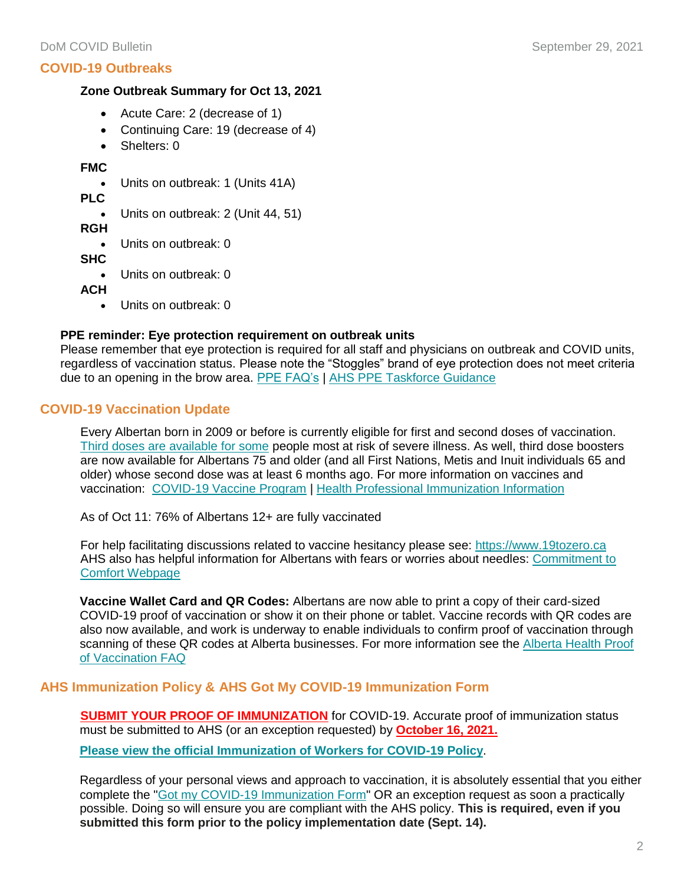#### **Zone Outbreak Summary for Oct 13, 2021**

- Acute Care: 2 (decrease of 1)
- Continuing Care: 19 (decrease of 4)
- Shelters: 0

#### **FMC**

- Units on outbreak: 1 (Units 41A)
- **PLC**
	- Units on outbreak: 2 (Unit 44, 51)
- **RGH**
	- Units on outbreak: 0
- **SHC**
	- Units on outbreak: 0
- **ACH**
	- Units on outbreak: 0

#### **PPE reminder: Eye protection requirement on outbreak units**

Please remember that eye protection is required for all staff and physicians on outbreak and COVID units, regardless of vaccination status. Please note the "Stoggles" brand of eye protection does not meet criteria due to an opening in the brow area. [PPE FAQ's](https://www.albertahealthservices.ca/assets/info/ppih/if-ppih-covid-19-ppe-faq.pdf) | [AHS PPE Taskforce Guidance](https://www.albertahealthservices.ca/assets/info/ppih/if-ppih-ppe-bring-my-own-guidance.pdf)

# **COVID-19 Vaccination Update**

Every Albertan born in 2009 or before is currently eligible for first and second doses of vaccination. [Third doses are available](https://www.alberta.ca/release.cfm?xID=79756F876B4E6-D0CF-EE2A-5B0A09CE5864BEFD) for some people most at risk of severe illness. As well, third dose boosters are now available for Albertans 75 and older (and all First Nations, Metis and Inuit individuals 65 and older) whose second dose was at least 6 months ago. For more information on vaccines and vaccination: [COVID-19 Vaccine Program](https://www.alberta.ca/covid19-vaccine.aspx?utm_source=bing&utm_medium=cpc&utm_campaign=Vaccines%20Campaign%20-%20Search&utm_term=alberta%20vaccine&utm_content=General) | [Health Professional Immunization Information](https://insite.albertahealthservices.ca/tools/Page25471.aspx)

As of Oct 11: 76% of Albertans 12+ are fully vaccinated

For help facilitating discussions related to vaccine hesitancy please see: [https://www.19tozero.ca](https://www.19tozero.ca/) AHS also has helpful information for Albertans with fears or worries about needles: [Commitment to](https://www.ahs.ca/vaccinecomfort)  [Comfort Webpage](https://www.ahs.ca/vaccinecomfort)

**Vaccine Wallet Card and QR Codes:** Albertans are now able to print a copy of their card-sized COVID-19 proof of vaccination or show it on their phone or tablet. Vaccine records with QR codes are also now available, and work is underway to enable individuals to confirm proof of vaccination through scanning of these QR codes at Alberta businesses. For more information see the [Alberta Health Proof](https://www.alberta.ca/proof-of-vaccination-faq.aspx)  [of Vaccination FAQ](https://www.alberta.ca/proof-of-vaccination-faq.aspx)

#### **AHS Immunization Policy & AHS Got My COVID-19 Immunization Form**

**SUBMIT YOUR PROOF OF IMMUNIZATION** for COVID-19. Accurate proof of immunization status must be submitted to AHS (or an exception requested) by **October 16, 2021.**

**[Please view the official Immunization of Workers for COVID-19 Policy](https://extranet.ahsnet.ca/teams/policydocuments/1/clp-ahs-immunization-workers-1189.pdf)**.

Regardless of your personal views and approach to vaccination, it is absolutely essential that you either complete the ["Got my COVID-19 Immunization Form"](https://insite.albertahealthservices.ca/tools/Page25479.aspx) OR an exception request as soon a practically possible. Doing so will ensure you are compliant with the AHS policy. **This is required, even if you submitted this form prior to the policy implementation date (Sept. 14).**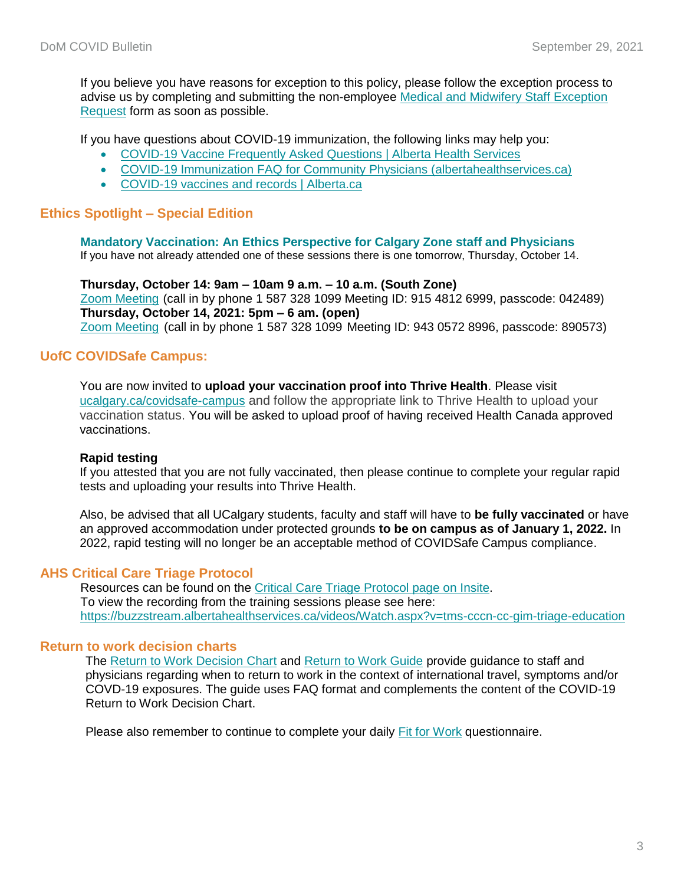If you believe you have reasons for exception to this policy, please follow the exception process to advise us by completing and submitting the non-employee [Medical and Midwifery Staff Exception](https://insite.albertahealthservices.ca/main/assets/frm/frm-21871.pdf)  [Request](https://insite.albertahealthservices.ca/main/assets/frm/frm-21871.pdf) form as soon as possible.

If you have questions about COVID-19 immunization, the following links may help you:

- [COVID-19 Vaccine Frequently Asked Questions | Alberta Health Services](https://www.albertahealthservices.ca/topics/Page17389.aspx)
- [COVID-19 Immunization FAQ for Community Physicians \(albertahealthservices.ca\)](https://www.albertahealthservices.ca/assets/info/ppih/if-ppih-covid-19-primary-care-faq.pdf)
- [COVID-19 vaccines and records | Alberta.ca](https://www.alberta.ca/covid19-vaccine.aspx)

#### **Ethics Spotlight – Special Edition**

#### **Mandatory Vaccination: An Ethics Perspective for Calgary Zone staff and Physicians**

If you have not already attended one of these sessions there is one tomorrow, Thursday, October 14.

#### **Thursday, October 14: 9am – 10am 9 a.m. – 10 a.m. (South Zone)**

[Zoom Meeting](https://albertahealthservices.zoom.us/s/91548126999?pwd=N3dhYXdycENMVmZzSm1xdU9GMUtkQT09) (call in by phone 1 587 328 1099 Meeting ID: 915 4812 6999, passcode: 042489) **Thursday, October 14, 2021: 5pm – 6 am. (open)**

[Zoom Meeting](https://albertahealthservices.zoom.us/s/94305728996?pwd=MGMwdkJkQTJtRmk3ckpOMGdwOFpHZz09) (call in by phone 1 587 328 1099 Meeting ID: 943 0572 8996, passcode: 890573)

#### **UofC COVIDSafe Campus:**

You are now invited to **upload your vaccination proof into Thrive Health**. Please visit [ucalgary.ca/covidsafe-campus](https://em.ucalgary.ca/MTYxLU9MTi05OTAAAAF_sinMTmqE2mYSPX7dxIk6gwA5ljtooF4d7bhk8yedaHhJNiUw9aK0rT8DtQ_C1INp8TQCQ5I=) and follow the appropriate link to Thrive Health to upload your vaccination status. You will be asked to upload proof of having received Health Canada approved vaccinations.

#### **Rapid testing**

If you attested that you are not fully vaccinated, then please continue to complete your regular rapid tests and uploading your results into Thrive Health.

Also, be advised that all UCalgary students, faculty and staff will have to **be fully vaccinated** or have an approved accommodation under protected grounds **to be on campus as of January 1, 2022.** In 2022, rapid testing will no longer be an acceptable method of COVIDSafe Campus compliance.

#### **AHS Critical Care Triage Protocol**

Resources can be found on the [Critical Care Triage Protocol page on Insite.](https://insite.albertahealthservices.ca/cccn/Page25874.aspx) To view the recording from the training sessions please see here: <https://buzzstream.albertahealthservices.ca/videos/Watch.aspx?v=tms-cccn-cc-gim-triage-education>

# **Return to work decision charts**

The [Return to Work Decision Chart](https://www.albertahealthservices.ca/assets/info/ppih/if-ppih-covid-19-return-to-work-decision-chart-healthcare-worker.pdf) and [Return to Work Guide](https://www.albertahealthservices.ca/assets/info/ppih/if-ppih-covid-19-return-to-work-guide-ahs-healthcare-worker.pdf) provide guidance to staff and physicians regarding when to return to work in the context of international travel, symptoms and/or COVD-19 exposures. The guide uses FAQ format and complements the content of the COVID-19 Return to Work Decision Chart.

Please also remember to continue to complete your daily [Fit for Work](https://www.albertahealthservices.ca/topics/Page17076.aspx) questionnaire.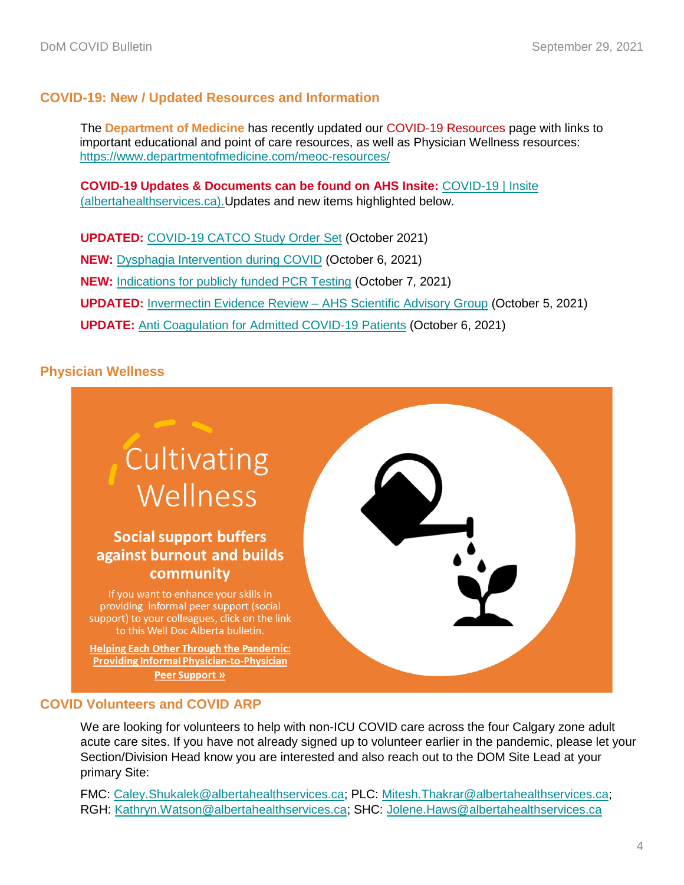# **COVID-19: New / Updated Resources and Information**

The **Department of Medicine** has recently updated our COVID-19 Resources page with links to important educational and point of care resources, as well as Physician Wellness resources: <https://www.departmentofmedicine.com/meoc-resources/>

**COVID-19 Updates & Documents can be found on AHS Insite:** [COVID-19 | Insite](https://insite.albertahealthservices.ca/tools/Page24291.aspx)  [\(albertahealthservices.ca\).](https://insite.albertahealthservices.ca/tools/Page24291.aspx)Updates and new items highlighted below.

**UPDATED:** [COVID-19 CATCO Study Order Set](https://www.departmentofmedicine.com/meoc/covid-scm-special-notice-order-set.pdf) (October 2021) **NEW:** [Dysphagia Intervention during COVID](https://insite.albertahealthservices.ca/main/assets/tls/ep/tls-ep-covid-19-dysphagia-intervention-during-covid.pdf) (October 6, 2021) **NEW:** [Indications for publicly funded PCR Testing](https://www.departmentofmedicine.com/meoc/covid-indications-publicly-funded-testing.pdf) (October 7, 2021) **UPDATED:** [Invermectin Evidence Review –](https://www.albertahealthservices.ca/assets/info/ppih/if-ppih-covid-19-sag-ivermectin-in-treatment-and-prevention-rapid-review.pdf) AHS Scientific Advisory Group (October 5, 2021) **UPDATE:** [Anti Coagulation for Admitted COVID-19 Patients](https://www.departmentofmedicine.com/meoc/covid-updated-anti-coagulation-guidance.pdf) (October 6, 2021)

# **Physician Wellness**



#### **COVID Volunteers and COVID ARP**

We are looking for volunteers to help with non-ICU COVID care across the four Calgary zone adult acute care sites. If you have not already signed up to volunteer earlier in the pandemic, please let your Section/Division Head know you are interested and also reach out to the DOM Site Lead at your primary Site:

FMC: [Caley.Shukalek@albertahealthservices.ca;](mailto:Caley.Shukalek@albertahealthservices.ca) PLC: [Mitesh.Thakrar@albertahealthservices.ca;](mailto:Mitesh.Thakrar@albertahealthservices.ca) RGH: [Kathryn.Watson@albertahealthservices.ca;](mailto:Kathryn.Watson@albertahealthservices.ca) SHC: [Jolene.Haws@albertahealthservices.ca](mailto:Jolene.Haws@albertahealthservices.ca)